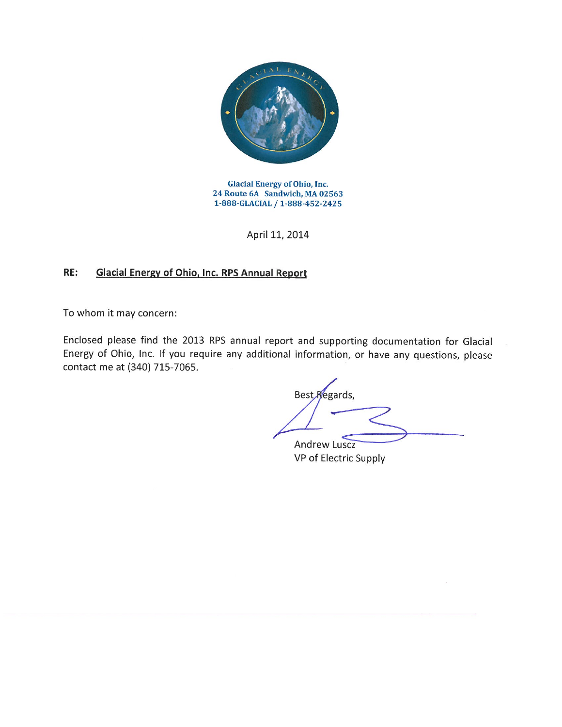

**Glacial Energy of Ohio, Inc.** 24 Route 6A Sandwich, MA 02563 1-888-GLACIAL / 1-888-452-2425

April 11, 2014

## **Glacial Energy of Ohio, Inc. RPS Annual Report** RE:

To whom it may concern:

Enclosed please find the 2013 RPS annual report and supporting documentation for Glacial Energy of Ohio, Inc. If you require any additional information, or have any questions, please contact me at (340) 715-7065.

Best Regards, **Andrew Luscz** 

VP of Electric Supply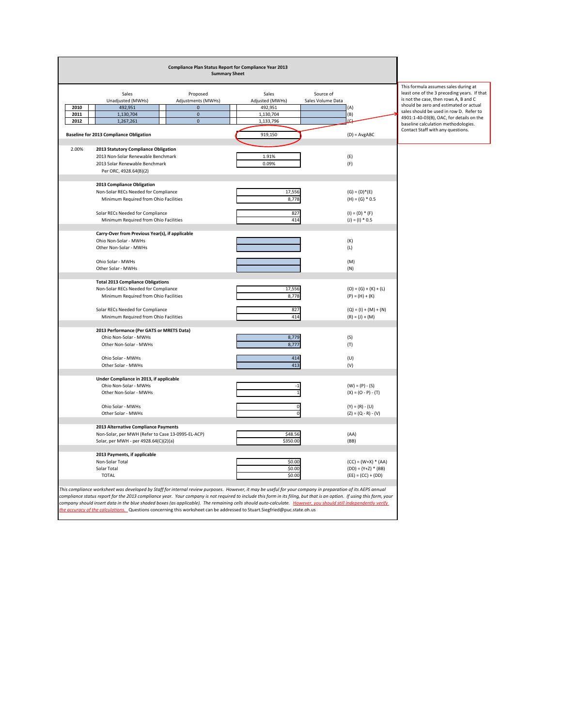| Compliance Plan Status Report for Compliance Year 2013<br><b>Summary Sheet</b> |                                                                                                                                                                         |                                                   |                                |         |                          |                                |                                   |                                                                                                                              |
|--------------------------------------------------------------------------------|-------------------------------------------------------------------------------------------------------------------------------------------------------------------------|---------------------------------------------------|--------------------------------|---------|--------------------------|--------------------------------|-----------------------------------|------------------------------------------------------------------------------------------------------------------------------|
|                                                                                | Sales<br>Unadjusted (MWHs)                                                                                                                                              |                                                   | Proposed<br>Adjustments (MWHs) |         | Sales<br>Adjusted (MWHs) | Source of<br>Sales Volume Data |                                   | This formula assumes sales during at<br>least one of the 3 preceding years. If that<br>is not the case, then rows A, B and C |
| 2010                                                                           | 492,951                                                                                                                                                                 |                                                   | $\pmb{0}$                      |         | 492,951                  |                                | (A)                               | should be zero and estimated or actual<br>sales should be used in row D. Refer to                                            |
| 2011                                                                           | 1,130,704                                                                                                                                                               |                                                   | $\mathbf 0$                    |         | 1,130,704                |                                | (B)                               | 4901:1-40-03(B), OAC, for details on the                                                                                     |
| 2012                                                                           | 1,267,261                                                                                                                                                               |                                                   | $\pmb{0}$                      |         | 1,133,796                |                                | (C)                               | baseline calculation methodologies.                                                                                          |
|                                                                                | <b>Baseline for 2013 Compliance Obligation</b>                                                                                                                          |                                                   |                                | 919,150 |                          | $(D) = AvgABC$                 | Contact Staff with any questions. |                                                                                                                              |
| 2.00%                                                                          | 2013 Statutory Compliance Obligation                                                                                                                                    |                                                   |                                |         |                          |                                |                                   |                                                                                                                              |
|                                                                                | 2013 Non-Solar Renewable Benchmark                                                                                                                                      |                                                   |                                |         | 1.91%                    |                                | (E)                               |                                                                                                                              |
|                                                                                | 2013 Solar Renewable Benchmark                                                                                                                                          |                                                   |                                |         | 0.09%                    |                                | (F)                               |                                                                                                                              |
|                                                                                | Per ORC, 4928.64(B)(2)                                                                                                                                                  |                                                   |                                |         |                          |                                |                                   |                                                                                                                              |
|                                                                                | 2013 Compliance Obligation                                                                                                                                              |                                                   |                                |         |                          |                                |                                   |                                                                                                                              |
|                                                                                | Non-Solar RECs Needed for Compliance                                                                                                                                    |                                                   |                                |         | 17,556                   |                                | $(G) = (D) * (E)$                 |                                                                                                                              |
|                                                                                | Minimum Required from Ohio Facilities                                                                                                                                   |                                                   |                                |         | 8,778                    |                                | $(H) = (G) * 0.5$                 |                                                                                                                              |
|                                                                                |                                                                                                                                                                         |                                                   |                                |         |                          |                                |                                   |                                                                                                                              |
|                                                                                |                                                                                                                                                                         | Solar RECs Needed for Compliance                  |                                |         | 414                      | 827<br>$(I) = (D) * (F)$       |                                   |                                                                                                                              |
|                                                                                | Minimum Required from Ohio Facilities                                                                                                                                   |                                                   |                                |         |                          |                                | $(J) = (I) * 0.5$                 |                                                                                                                              |
|                                                                                |                                                                                                                                                                         | Carry-Over from Previous Year(s), if applicable   |                                |         |                          |                                |                                   |                                                                                                                              |
|                                                                                | Ohio Non-Solar - MWHs                                                                                                                                                   |                                                   |                                |         |                          |                                | (K)                               |                                                                                                                              |
|                                                                                | Other Non-Solar - MWHs                                                                                                                                                  |                                                   |                                |         |                          |                                | (L)                               |                                                                                                                              |
|                                                                                | Ohio Solar - MWHs                                                                                                                                                       |                                                   |                                |         |                          |                                | (M)                               |                                                                                                                              |
|                                                                                | Other Solar - MWHs                                                                                                                                                      |                                                   |                                |         |                          |                                | (N)                               |                                                                                                                              |
|                                                                                |                                                                                                                                                                         |                                                   |                                |         |                          |                                |                                   |                                                                                                                              |
|                                                                                | <b>Total 2013 Compliance Obligations</b>                                                                                                                                |                                                   |                                |         |                          |                                |                                   |                                                                                                                              |
|                                                                                | Non-Solar RECs Needed for Compliance                                                                                                                                    |                                                   |                                |         | 17,556<br>8,778          |                                | $(O) = (G) + (K) + (L)$           |                                                                                                                              |
|                                                                                | Minimum Required from Ohio Facilities                                                                                                                                   |                                                   |                                |         |                          |                                | $(P) = (H) + (K)$                 |                                                                                                                              |
|                                                                                | Solar RECs Needed for Compliance                                                                                                                                        |                                                   |                                |         | 827                      |                                | $(Q) = (1) + (M) + (N)$           |                                                                                                                              |
|                                                                                | Minimum Required from Ohio Facilities                                                                                                                                   |                                                   |                                |         | 414                      |                                | $(R) = (J) + (M)$                 |                                                                                                                              |
|                                                                                | 2013 Performance (Per GATS or MRETS Data)                                                                                                                               |                                                   |                                |         |                          |                                |                                   |                                                                                                                              |
|                                                                                | Ohio Non-Solar - MWHs                                                                                                                                                   |                                                   |                                |         | 8,779                    |                                | (S)                               |                                                                                                                              |
|                                                                                | Other Non-Solar - MWHs                                                                                                                                                  |                                                   |                                |         | 8,777                    |                                | (T)                               |                                                                                                                              |
|                                                                                | Ohio Solar - MWHs                                                                                                                                                       |                                                   |                                |         | 414                      |                                | (U)                               |                                                                                                                              |
|                                                                                | Other Solar - MWHs                                                                                                                                                      |                                                   |                                |         | 413                      |                                | (V)                               |                                                                                                                              |
|                                                                                |                                                                                                                                                                         |                                                   |                                |         |                          |                                |                                   |                                                                                                                              |
|                                                                                | Under Compliance in 2013, if applicable<br>Ohio Non-Solar - MWHs                                                                                                        |                                                   |                                |         | $-1$                     |                                | $(W) = (P) - (S)$                 |                                                                                                                              |
|                                                                                | Other Non-Solar - MWHs                                                                                                                                                  |                                                   |                                |         |                          |                                | $(X) = (O - P) - (T)$             |                                                                                                                              |
|                                                                                |                                                                                                                                                                         |                                                   |                                |         |                          |                                |                                   |                                                                                                                              |
|                                                                                | Ohio Solar - MWHs                                                                                                                                                       |                                                   |                                |         |                          |                                | $(Y) = (R) - (U)$                 |                                                                                                                              |
|                                                                                | Other Solar - MWHs                                                                                                                                                      |                                                   |                                |         | $\Omega$                 |                                | $(Z) = (Q - R) - (V)$             |                                                                                                                              |
|                                                                                | 2013 Alternative Compliance Payments                                                                                                                                    |                                                   |                                |         |                          |                                |                                   |                                                                                                                              |
|                                                                                |                                                                                                                                                                         | Non-Solar, per MWH (Refer to Case 13-0995-EL-ACP) |                                |         |                          |                                | (AA)                              |                                                                                                                              |
|                                                                                | Solar, per MWH - per 4928.64(C)(2)(a)                                                                                                                                   |                                                   |                                |         | \$48.56<br>\$350.00      |                                | (BB)                              |                                                                                                                              |
|                                                                                | 2013 Payments, if applicable                                                                                                                                            |                                                   |                                |         |                          |                                |                                   |                                                                                                                              |
|                                                                                | Non-Solar Total                                                                                                                                                         |                                                   |                                |         | \$0.00                   |                                | $(CC) = (W+X) * (AA)$             |                                                                                                                              |
|                                                                                | Solar Total                                                                                                                                                             |                                                   |                                |         | \$0.00                   |                                | $(DD) = (Y+Z) * (BB)$             |                                                                                                                              |
|                                                                                | <b>TOTAL</b>                                                                                                                                                            |                                                   |                                |         | \$0.00                   |                                | $(EE) = (CC) + (DD)$              |                                                                                                                              |
|                                                                                | This compliance worksheet was developed by Staff for internal review purposes. However, it may be useful for your company in preparation of its AEPS annual             |                                                   |                                |         |                          |                                |                                   |                                                                                                                              |
|                                                                                | compliance status report for the 2013 compliance year. Your company is not required to include this form in its filing, but that is an option. If using this form, your |                                                   |                                |         |                          |                                |                                   |                                                                                                                              |
|                                                                                | company should insert data in the blue shaded boxes (as applicable). The remaining cells should auto-calculate. However, you should still independently verify          |                                                   |                                |         |                          |                                |                                   |                                                                                                                              |
|                                                                                | the accuracy of the calculations. Questions concerning this worksheet can be addressed to Stuart. Siegfried@puc.state.oh.us                                             |                                                   |                                |         |                          |                                |                                   |                                                                                                                              |